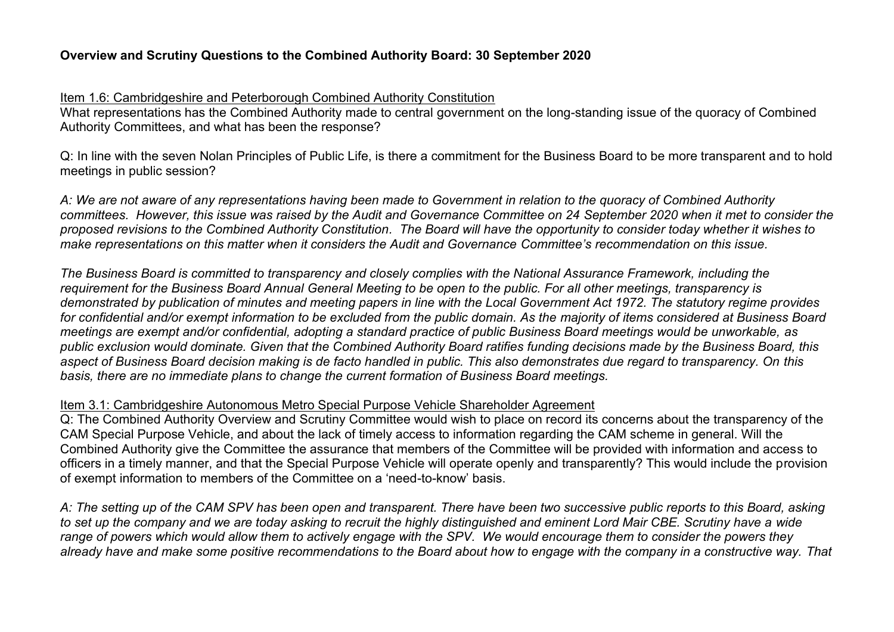# **Overview and Scrutiny Questions to the Combined Authority Board: 30 September 2020**

### Item 1.6: Cambridgeshire and Peterborough Combined Authority Constitution

What representations has the Combined Authority made to central government on the long-standing issue of the quoracy of Combined Authority Committees, and what has been the response?

Q: In line with the seven Nolan Principles of Public Life, is there a commitment for the Business Board to be more transparent and to hold meetings in public session?

*A: We are not aware of any representations having been made to Government in relation to the quoracy of Combined Authority committees. However, this issue was raised by the Audit and Governance Committee on 24 September 2020 when it met to consider the proposed revisions to the Combined Authority Constitution. The Board will have the opportunity to consider today whether it wishes to make representations on this matter when it considers the Audit and Governance Committee's recommendation on this issue.* 

*The Business Board is committed to transparency and closely complies with the National Assurance Framework, including the requirement for the Business Board Annual General Meeting to be open to the public. For all other meetings, transparency is demonstrated by publication of minutes and meeting papers in line with the Local Government Act 1972. The statutory regime provides for confidential and/or exempt information to be excluded from the public domain. As the majority of items considered at Business Board meetings are exempt and/or confidential, adopting a standard practice of public Business Board meetings would be unworkable, as public exclusion would dominate. Given that the Combined Authority Board ratifies funding decisions made by the Business Board, this aspect of Business Board decision making is de facto handled in public. This also demonstrates due regard to transparency. On this basis, there are no immediate plans to change the current formation of Business Board meetings.* 

# Item 3.1: Cambridgeshire Autonomous Metro Special Purpose Vehicle Shareholder Agreement

Q: The Combined Authority Overview and Scrutiny Committee would wish to place on record its concerns about the transparency of the CAM Special Purpose Vehicle, and about the lack of timely access to information regarding the CAM scheme in general. Will the Combined Authority give the Committee the assurance that members of the Committee will be provided with information and access to officers in a timely manner, and that the Special Purpose Vehicle will operate openly and transparently? This would include the provision of exempt information to members of the Committee on a 'need-to-know' basis.

*A: The setting up of the CAM SPV has been open and transparent. There have been two successive public reports to this Board, asking to set up the company and we are today asking to recruit the highly distinguished and eminent Lord Mair CBE. Scrutiny have a wide range of powers which would allow them to actively engage with the SPV. We would encourage them to consider the powers they already have and make some positive recommendations to the Board about how to engage with the company in a constructive way. That*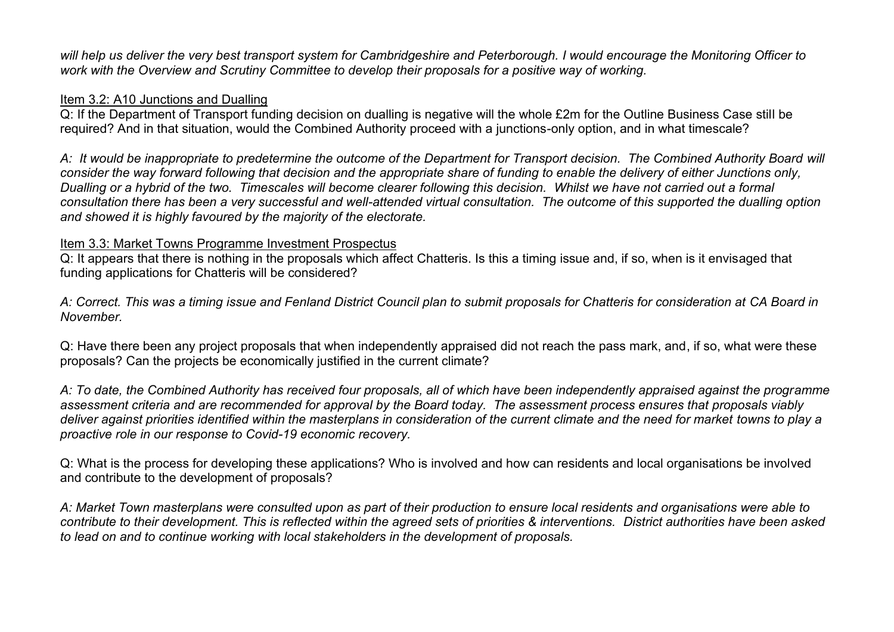*will help us deliver the very best transport system for Cambridgeshire and Peterborough. I would encourage the Monitoring Officer to work with the Overview and Scrutiny Committee to develop their proposals for a positive way of working.*

## Item 3.2: A10 Junctions and Dualling

Q: If the Department of Transport funding decision on dualling is negative will the whole £2m for the Outline Business Case still be required? And in that situation, would the Combined Authority proceed with a junctions-only option, and in what timescale?

*A: It would be inappropriate to predetermine the outcome of the Department for Transport decision. The Combined Authority Board will consider the way forward following that decision and the appropriate share of funding to enable the delivery of either Junctions only, Dualling or a hybrid of the two. Timescales will become clearer following this decision. Whilst we have not carried out a formal consultation there has been a very successful and well-attended virtual consultation. The outcome of this supported the dualling option and showed it is highly favoured by the majority of the electorate.* 

### Item 3.3: Market Towns Programme Investment Prospectus

Q: It appears that there is nothing in the proposals which affect Chatteris. Is this a timing issue and, if so, when is it envisaged that funding applications for Chatteris will be considered?

*A: Correct. This was a timing issue and Fenland District Council plan to submit proposals for Chatteris for consideration at CA Board in November.* 

Q: Have there been any project proposals that when independently appraised did not reach the pass mark, and, if so, what were these proposals? Can the projects be economically justified in the current climate?

*A: To date, the Combined Authority has received four proposals, all of which have been independently appraised against the programme assessment criteria and are recommended for approval by the Board today. The assessment process ensures that proposals viably deliver against priorities identified within the masterplans in consideration of the current climate and the need for market towns to play a proactive role in our response to Covid-19 economic recovery.* 

Q: What is the process for developing these applications? Who is involved and how can residents and local organisations be involved and contribute to the development of proposals?

*A: Market Town masterplans were consulted upon as part of their production to ensure local residents and organisations were able to contribute to their development. This is reflected within the agreed sets of priorities & interventions. District authorities have been asked to lead on and to continue working with local stakeholders in the development of proposals.*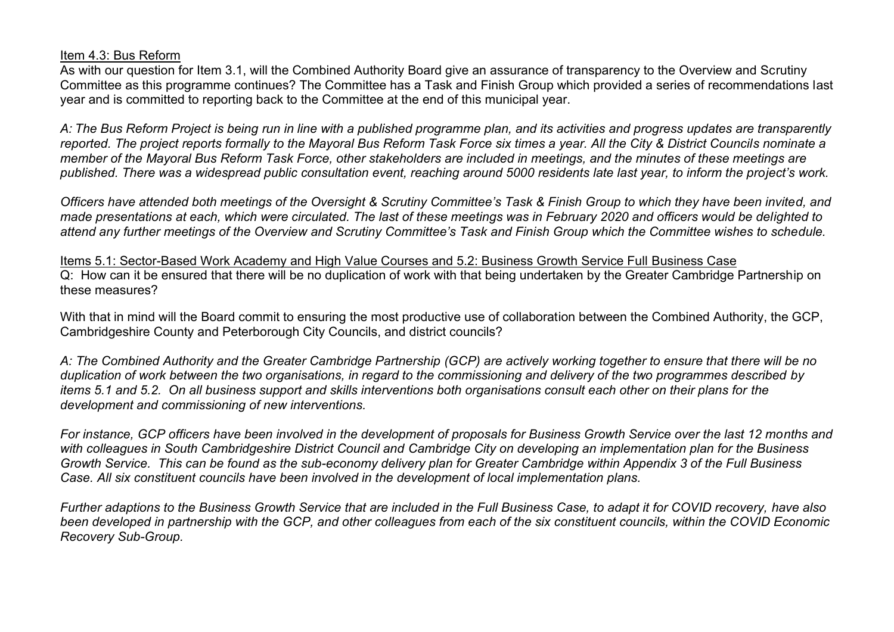### Item 4.3: Bus Reform

As with our question for Item 3.1, will the Combined Authority Board give an assurance of transparency to the Overview and Scrutiny Committee as this programme continues? The Committee has a Task and Finish Group which provided a series of recommendations last year and is committed to reporting back to the Committee at the end of this municipal year.

*A: The Bus Reform Project is being run in line with a published programme plan, and its activities and progress updates are transparently reported. The project reports formally to the Mayoral Bus Reform Task Force six times a year. All the City & District Councils nominate a member of the Mayoral Bus Reform Task Force, other stakeholders are included in meetings, and the minutes of these meetings are*  published. There was a widespread public consultation event, reaching around 5000 residents late last year, to inform the project's work.

*Officers have attended both meetings of the Oversight & Scrutiny Committee's Task & Finish Group to which they have been invited, and made presentations at each, which were circulated. The last of these meetings was in February 2020 and officers would be delighted to attend any further meetings of the Overview and Scrutiny Committee's Task and Finish Group which the Committee wishes to schedule.* 

Items 5.1: Sector-Based Work Academy and High Value Courses and 5.2: Business Growth Service Full Business Case Q: How can it be ensured that there will be no duplication of work with that being undertaken by the Greater Cambridge Partnership on these measures?

With that in mind will the Board commit to ensuring the most productive use of collaboration between the Combined Authority, the GCP, Cambridgeshire County and Peterborough City Councils, and district councils?

*A: The Combined Authority and the Greater Cambridge Partnership (GCP) are actively working together to ensure that there will be no duplication of work between the two organisations, in regard to the commissioning and delivery of the two programmes described by items 5.1 and 5.2. On all business support and skills interventions both organisations consult each other on their plans for the development and commissioning of new interventions.* 

*For instance, GCP officers have been involved in the development of proposals for Business Growth Service over the last 12 months and with colleagues in South Cambridgeshire District Council and Cambridge City on developing an implementation plan for the Business Growth Service. This can be found as the sub-economy delivery plan for Greater Cambridge within Appendix 3 of the Full Business Case. All six constituent councils have been involved in the development of local implementation plans.* 

*Further adaptions to the Business Growth Service that are included in the Full Business Case, to adapt it for COVID recovery, have also been developed in partnership with the GCP, and other colleagues from each of the six constituent councils, within the COVID Economic Recovery Sub-Group.*